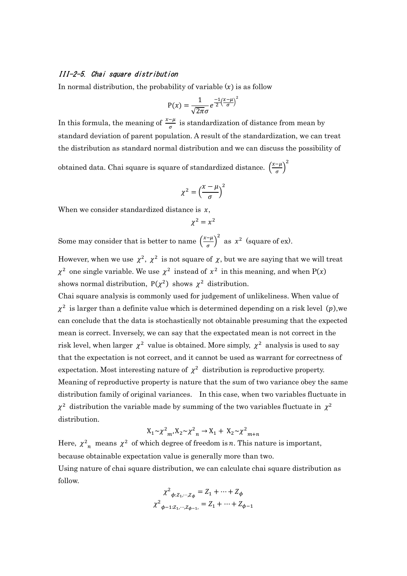## III-2-5. Chai square distribution

In normal distribution, the probability of variable  $(x)$  is as follow

$$
P(x) = \frac{1}{\sqrt{2\pi}\sigma} e^{\frac{-1}{2} \left(\frac{x-\mu}{\sigma}\right)^2}
$$

In this formula, the meaning of  $\frac{x-\mu}{\sigma}$  is standardization of distance from mean by standard deviation of parent population. A result of the standardization, we can treat the distribution as standard normal distribution and we can discuss the possibility of

obtained data. Chai square is square of standardized distance.  $\left(\frac{x-\mu}{\sigma}\right)$  $\left(\frac{-\mu}{\sigma}\right)^2$ 

$$
\chi^2 = \left(\frac{x-\mu}{\sigma}\right)^2
$$

When we consider standardized distance is  $x$ ,

$$
\chi^2=x^2
$$

Some may consider that is better to name  $\left(\frac{x-\mu}{\sigma}\right)$  $\left(\frac{-\mu}{\sigma}\right)^2$  as  $x^2$  (square of ex).

However, when we use  $\chi^2$ ,  $\chi^2$  is not square of  $\chi$ , but we are saying that we will treat  $\chi^2$  one single variable. We use  $\chi^2$  instead of  $\chi^2$  in this meaning, and when P(x) shows normal distribution,  $P(\chi^2)$  shows  $\chi^2$  distribution.

Chai square analysis is commonly used for judgement of unlikeliness. When value of  $\chi^2$  is larger than a definite value which is determined depending on a risk level (p), we can conclude that the data is stochastically not obtainable presuming that the expected mean is correct. Inversely, we can say that the expectated mean is not correct in the risk level, when larger  $\chi^2$  value is obtained. More simply,  $\chi^2$  analysis is used to say that the expectation is not correct, and it cannot be used as warrant for correctness of expectation. Most interesting nature of  $\chi^2$  distribution is reproductive property. Meaning of reproductive property is nature that the sum of two variance obey the same distribution family of original variances. In this case, when two variables fluctuate in  $\chi^2$  distribution the variable made by summing of the two variables fluctuate in  $\chi^2$ distribution.

$$
X_1 \sim \chi^2_{m} X_2 \sim \chi^2_{n} \to X_1 + X_2 \sim \chi^2_{m+n}
$$

Here,  $\chi^2$ <sub>n</sub> means  $\chi^2$  of which degree of freedom is *n*. This nature is important, because obtainable expectation value is generally more than two. Using nature of chai square distribution, we can calculate chai square distribution as follow.

$$
\chi^{2}{}_{\phi:Z_{1},\cdots,Z_{\phi}} = Z_{1} + \cdots + Z_{\phi}
$$

$$
\chi^{2}{}_{\phi-1:Z_{1},\cdots,Z_{\phi-1}} = Z_{1} + \cdots + Z_{\phi-1}
$$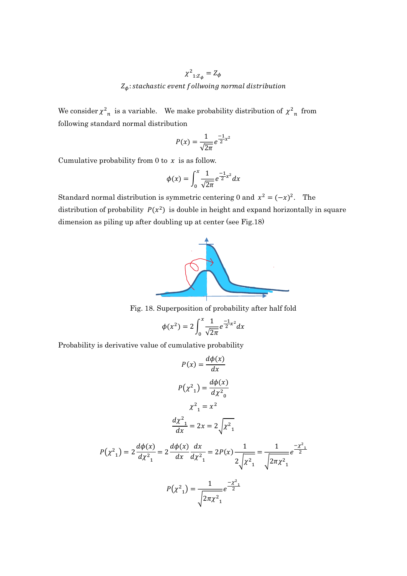## $\chi^2_{1:Z_{\phi}} = Z_{\phi}$  $Z_{\phi}$ : stachastic event follwoing normal distribution

We consider  $\chi^2$ <sub>n</sub> is a variable. We make probability distribution of  $\chi^2$ <sub>n</sub> from following standard normal distribution

$$
P(x) = \frac{1}{\sqrt{2\pi}}e^{\frac{-1}{2}x^2}
$$

Cumulative probability from 0 to  $x$  is as follow.

$$
\phi(x) = \int_0^x \frac{1}{\sqrt{2\pi}} e^{\frac{-1}{2}x^2} dx
$$

Standard normal distribution is symmetric centering 0 and  $x^2 = (-x)^2$ . The distribution of probability  $P(x^2)$  is double in height and expand horizontally in square dimension as piling up after doubling up at center (see Fig.18)



Fig. 18. Superposition of probability after half fold

$$
\phi(x^2) = 2 \int_0^x \frac{1}{\sqrt{2\pi}} e^{\frac{-1}{2}x^2} dx
$$

Probability is derivative value of cumulative probability

$$
P(x) = \frac{d\phi(x)}{dx}
$$
  
\n
$$
P(x^2) = \frac{d\phi(x)}{dx^2}
$$
  
\n
$$
x^2 = x^2
$$
  
\n
$$
\frac{d\chi^2}{dx^2} = 2x = 2\sqrt{x^2}
$$
  
\n
$$
P(x^2) = 2\frac{d\phi(x)}{dx^2} = 2\frac{d\phi(x)}{dx}\frac{dx}{dx^2} = 2P(x)\frac{1}{2\sqrt{x^2-1}} = \frac{1}{2\sqrt{2\pi x^2-1}}e^{\frac{-x^2-1}{2}}
$$
  
\n
$$
P(x^2) = \frac{1}{\sqrt{2\pi x^2-1}}e^{\frac{-x^2-1}{2}}
$$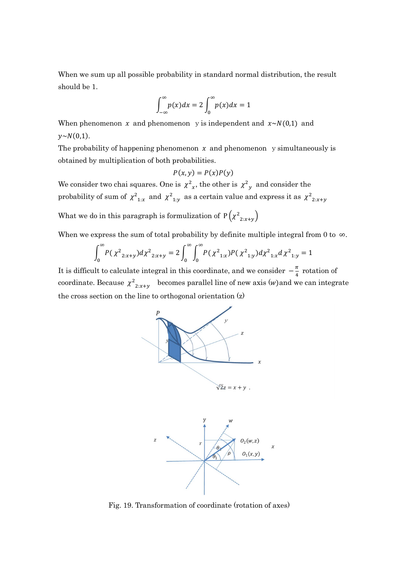When we sum up all possible probability in standard normal distribution, the result should be 1.

$$
\int_{-\infty}^{\infty} p(x)dx = 2 \int_{0}^{\infty} p(x)dx = 1
$$

When phenomenon x and phenomenon y is independent and  $x \sim N(0,1)$  and  $y \sim N(0,1)$ .

The probability of happening phenomenon  $x$  and phenomenon y simultaneously is obtained by multiplication of both probabilities.

$$
P(x, y) = P(x)P(y)
$$

We consider two chai squares. One is  $\chi^2_{\chi}$ , the other is  $\chi^2_{\chi}$  and consider the probability of sum of  $\chi^2_{1:x}$  and  $\chi^2_{1:y}$  as a certain value and express it as  $\chi^2_{2:x+y}$ 

What we do in this paragraph is formulization of  $P(\chi^2_{2:x+y})$ 

When we express the sum of total probability by definite multiple integral from 0 to  $\infty$ .

$$
\int_0^\infty P(\chi^2_{2:x+y}) d\chi^2_{2:x+y} = 2 \int_0^\infty \int_0^\infty P(\chi^2_{1:x}) P(\chi^2_{1:y}) d\chi^2_{1:x} d\chi^2_{1:y} = 1
$$

It is difficult to calculate integral in this coordinate, and we consider  $-\frac{\pi}{4}$  $\frac{\pi}{4}$  rotation of coordinate. Because  $\chi^2_{2:x+y}$  becomes parallel line of new axis (w) and we can integrate the cross section on the line to orthogonal orientation (z)





Fig. 19. Transformation of coordinate (rotation of axes)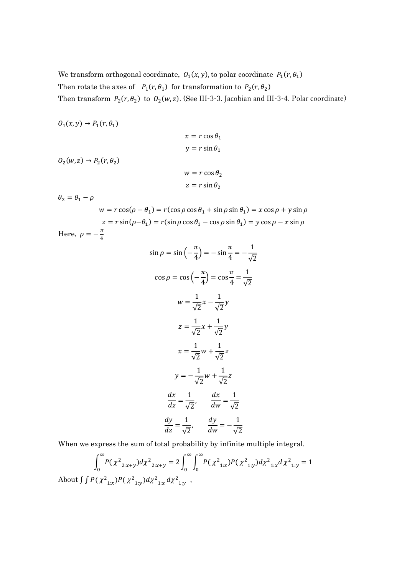We transform orthogonal coordinate,  $O_1(x, y)$ , to polar coordinate  $P_1(r, \theta_1)$ Then rotate the axes of  $P_1(r, \theta_1)$  for transformation to  $P_2(r, \theta_2)$ Then transform  $P_2(r, \theta_2)$  to  $O_2(w, z)$ . (See III-3-3. Jacobian and III-3-4. Polar coordinate)

$$
0_{1}(x, y) \rightarrow P_{1}(r, \theta_{1})
$$
\n
$$
x = r \cos \theta_{1}
$$
\n
$$
y = r \sin \theta_{1}
$$
\n
$$
0_{2}(w, z) \rightarrow P_{2}(r, \theta_{2})
$$
\n
$$
w = r \cos \theta_{2}
$$
\n
$$
z = r \sin \theta_{2}
$$
\n
$$
\theta_{2} = \theta_{1} - \rho
$$

 $w = r \cos(\rho - \theta_1) = r(\cos \rho \cos \theta_1 + \sin \rho \sin \theta_1) = x \cos \rho + y \sin \rho$  $z = r \sin(\rho - \theta_1) = r(\sin \rho \cos \theta_1 - \cos \rho \sin \theta_1) = y \cos \rho - x \sin \rho$ Here,  $\rho = -\frac{\pi}{4}$ ସ

$$
\sin \rho = \sin \left( -\frac{\pi}{4} \right) = -\sin \frac{\pi}{4} = -\frac{1}{\sqrt{2}}
$$

$$
\cos \rho = \cos \left( -\frac{\pi}{4} \right) = \cos \frac{\pi}{4} = \frac{1}{\sqrt{2}}
$$

$$
w = \frac{1}{\sqrt{2}} x - \frac{1}{\sqrt{2}} y
$$

$$
z = \frac{1}{\sqrt{2}} x + \frac{1}{\sqrt{2}} y
$$

$$
x = \frac{1}{\sqrt{2}} w + \frac{1}{\sqrt{2}} z
$$

$$
y = -\frac{1}{\sqrt{2}} w + \frac{1}{\sqrt{2}} z
$$

$$
\frac{dx}{dz} = \frac{1}{\sqrt{2}}, \quad \frac{dx}{dw} = \frac{1}{\sqrt{2}}
$$

$$
\frac{dy}{dz} = \frac{1}{\sqrt{2}}, \quad \frac{dy}{dw} = -\frac{1}{\sqrt{2}}
$$

When we express the sum of total probability by infinite multiple integral.

$$
\int_0^\infty P(\chi^2_{2:x+y})d\chi^2_{2:x+y} = 2\int_0^\infty \int_0^\infty P(\chi^2_{1:x})P(\chi^2_{1:y})d\chi^2_{1:x}d\chi^2_{1:y} = 1
$$
  
About  $\int P(\chi^2_{1:x})P(\chi^2_{1:y})d\chi^2_{1:x}d\chi^2_{1:y}$ ,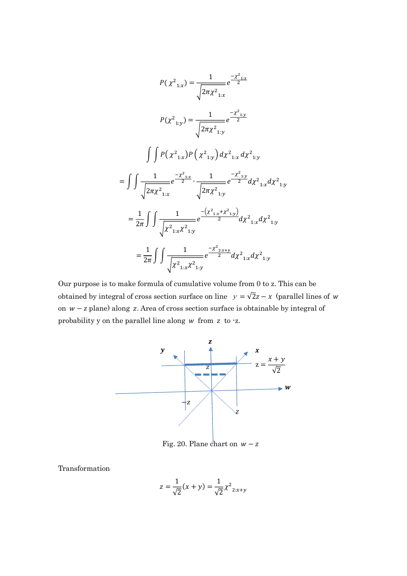$$
P(\chi^{2}_{1:x}) = \frac{1}{\sqrt{2\pi\chi^{2}_{1:x}}} e^{\frac{-\chi^{2}_{1:x}}{2}}
$$

$$
P(\chi^{2}_{1:y}) = \frac{1}{\sqrt{2\pi\chi^{2}_{1:y}}} e^{\frac{-\chi^{2}_{1:y}}{2}}
$$

$$
\int \int P(\chi^{2}_{1:x}) P(\chi^{2}_{1:y}) d\chi^{2}_{1:x} d\chi^{2}_{1:y}
$$

$$
= \int \int \frac{1}{\sqrt{2\pi\chi^{2}_{1:x}}} e^{\frac{-\chi^{2}_{1:x}}{2}} \cdot \frac{1}{\sqrt{2\pi\chi^{2}_{1:y}}} e^{\frac{-\chi^{2}_{1:y}}{2}} d\chi^{2}_{1:x} d\chi^{2}_{1:y}
$$

$$
= \frac{1}{2\pi} \int \int \frac{1}{\sqrt{\chi^{2}_{1:x}\chi^{2}_{1:y}}} e^{\frac{-(\chi^{2}_{1:x}+\chi^{2}_{1:y})}{2}} d\chi^{2}_{1:x} d\chi^{2}_{1:y}
$$

$$
= \frac{1}{2\pi} \int \int \frac{1}{\sqrt{\chi^{2}_{1:x}\chi^{2}_{1:y}}} e^{\frac{-\chi^{2}_{2:x+y}}{2}} d\chi^{2}_{1:x} d\chi^{2}_{1:y}
$$

Our purpose is to make formula of cumulative volume from 0 to z. This can be obtained by integral of cross section surface on line  $y = \sqrt{2}z - x$  (parallel lines of w on  $w - z$  plane) along z. Area of cross section surface is obtainable by integral of probability y on the parallel line along  $w$  from  $z$  to  $-z$ .



Fig. 20. Plane chart on  $w - z$ 

Transformation

$$
z = \frac{1}{\sqrt{2}}(x+y) = \frac{1}{\sqrt{2}}\chi^2_{2:x+y}
$$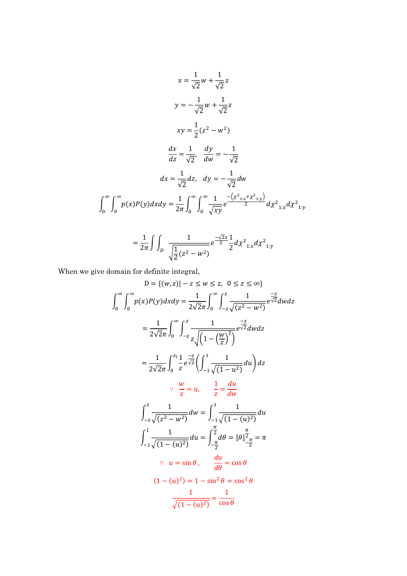$$
x = \frac{1}{\sqrt{2}}w + \frac{1}{\sqrt{2}}z
$$
  
\n
$$
y = -\frac{1}{\sqrt{2}}w + \frac{1}{\sqrt{2}}z
$$
  
\n
$$
xy = \frac{1}{2}(z^2 - w^2)
$$
  
\n
$$
\frac{dx}{dz} = \frac{1}{\sqrt{2}}, \quad \frac{dy}{dw} = -\frac{1}{\sqrt{2}}
$$
  
\n
$$
dx = \frac{1}{\sqrt{2}}dz, \quad dy = -\frac{1}{\sqrt{2}}dw
$$
  
\n
$$
\int_0^\infty \int_0^\infty p(x)P(y)dx dy = \frac{1}{2\pi} \int_0^\infty \int_0^\infty \frac{1}{\sqrt{xy}} e^{-\frac{(x^2_{1:x} + x^2_{1:y})}{2}} dx^2_{1:x} dx^2_{1:y}
$$

$$
= \frac{1}{2\pi} \int \int_{D} \frac{1}{\sqrt{\frac{1}{2}(z^2 - w^2)}} e^{\frac{-\sqrt{2}z}{2}} \frac{1}{2} d\chi^2_{1:x} d\chi^2_{1:y}
$$

When we give domain for definite integral,

$$
D = \{(w, z) | - z \le w \le z, \ 0 \le z \le \infty\}
$$
  

$$
\int_0^{\infty} \int_0^{\infty} p(x)P(y) dx dy = \frac{1}{2\sqrt{2}\pi} \int_0^{\infty} \int_{-z}^z \frac{1}{\sqrt{(z^2 - w^2)}} e^{\frac{-z}{\sqrt{2}}}} dw dz
$$
  

$$
= \frac{1}{2\sqrt{2}\pi} \int_0^{\infty} \int_{-z}^z \frac{1}{z \sqrt{(1 - (\frac{w}{z})^2)}} e^{\frac{-z}{\sqrt{2}}}} dw dz
$$
  

$$
= \frac{1}{2\sqrt{2}\pi} \int_0^{z_1} \frac{1}{z} e^{\frac{-z}{\sqrt{2}}} \left( \int_{-1}^1 \frac{1}{\sqrt{(1 - u^2)}} du \right) dz
$$
  

$$
\therefore \ \frac{w}{z} = u, \quad \frac{1}{z} = \frac{du}{dw}
$$
  

$$
\int_{-z}^2 \frac{1}{\sqrt{(z^2 - w^2)}} dw = \int_{-1}^1 \frac{1}{\sqrt{(1 - (u^2))}} du
$$
  

$$
\int_{-1}^1 \frac{1}{\sqrt{(1 - (u^2))}} du = \int_{-\frac{\pi}{2}}^{\frac{\pi}{2}} d\theta = [\theta]_{-\frac{\pi}{2}}^{\frac{\pi}{2}} = \pi
$$
  

$$
\therefore u = \sin \theta, \quad \frac{du}{d\theta} = \cos \theta
$$
  

$$
(1 - (u^2)) = 1 - \sin^2 \theta = \cos^2 \theta
$$
  

$$
\frac{1}{\sqrt{(1 - (u^2))}} = \frac{1}{\cos \theta}
$$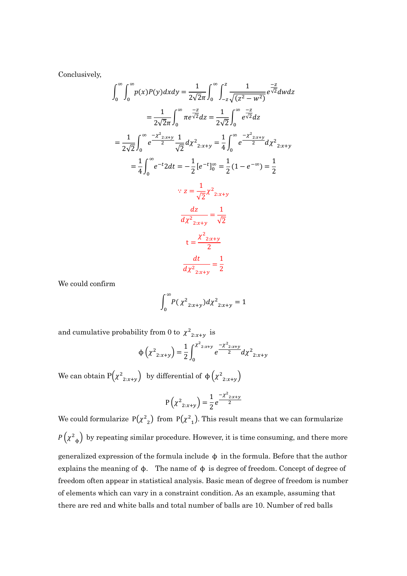Conclusively,

$$
\int_{0}^{\infty} \int_{0}^{\infty} p(x)P(y)dx dy = \frac{1}{2\sqrt{2}\pi} \int_{0}^{\infty} \int_{-z}^{z} \frac{1}{\sqrt{(z^{2} - w^{2})}} e^{\frac{-z}{\sqrt{2}}} dw dz
$$
  
\n
$$
= \frac{1}{2\sqrt{2}\pi} \int_{0}^{\infty} \pi e^{\frac{-z}{\sqrt{2}}} dz = \frac{1}{2\sqrt{2}} \int_{0}^{\infty} e^{\frac{-z}{\sqrt{2}}} dz
$$
  
\n
$$
= \frac{1}{2\sqrt{2}} \int_{0}^{\infty} e^{\frac{-x^{2}}{2}x+y} \frac{1}{\sqrt{2}} dx^{2} dx^{2} dx
$$
  
\n
$$
= \frac{1}{4} \int_{0}^{\infty} e^{-t} 2 dt = -\frac{1}{2} [e^{-t}]_{0}^{\infty} = \frac{1}{2} (1 - e^{-\infty}) = \frac{1}{2}
$$
  
\n
$$
\therefore z = \frac{1}{\sqrt{2}} \chi^{2} z_{2x+y}
$$
  
\n
$$
\frac{dz}{dx^{2} z_{2x+y}} = \frac{1}{\sqrt{2}}
$$
  
\n
$$
t = \frac{x^{2} z_{2x+y}}{2}
$$
  
\n
$$
\frac{dt}{dx^{2} z_{2x+y}} = \frac{1}{2}
$$

We could confirm

$$
\int_0^\infty P(\chi^2_{2:x+y})d\chi^2_{2:x+y} = 1
$$

and cumulative probability from 0 to  $\chi^2_{2:x+y}$  is

$$
\Phi\left(\chi^{2}_{2:x+y}\right) = \frac{1}{2} \int_{0}^{\chi^{2}_{2:x+y}} e^{\frac{-\chi^{2}_{2:x+y}}{2}} d\chi^{2}_{2:x+y}
$$

We can obtain  $P(\chi^2_{2:x+y})$  by differential of  $\phi(\chi^2_{2:x+y})$ 

$$
P(\chi^{2}_{2:x+y}) = \frac{1}{2}e^{\frac{-\chi^{2}_{2:x+y}}{2}}
$$

We could formularize  $P(\chi^2)$  from  $P(\chi^2)$ . This result means that we can formularize  $P(\chi^2_{\phi})$  by repeating similar procedure. However, it is time consuming, and there more generalized expression of the formula include  $\phi$  in the formula. Before that the author explains the meaning of  $\phi$ . The name of  $\phi$  is degree of freedom. Concept of degree of freedom often appear in statistical analysis. Basic mean of degree of freedom is number of elements which can vary in a constraint condition. As an example, assuming that there are red and white balls and total number of balls are 10. Number of red balls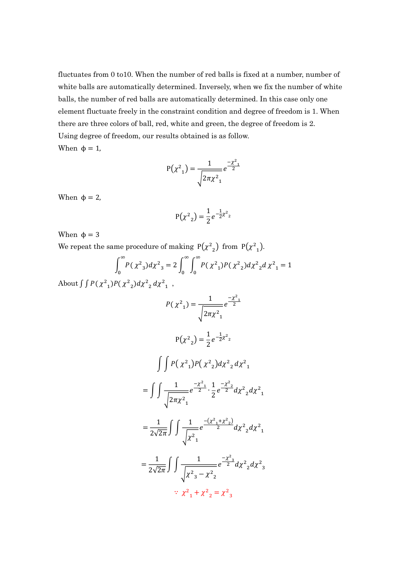fluctuates from 0 to10. When the number of red balls is fixed at a number, number of white balls are automatically determined. Inversely, when we fix the number of white balls, the number of red balls are automatically determined. In this case only one element fluctuate freely in the constraint condition and degree of freedom is 1. When there are three colors of ball, red, white and green, the degree of freedom is 2. Using degree of freedom, our results obtained is as follow. When  $\phi = 1$ ,

$$
P(\chi^2_{1}) = \frac{1}{\sqrt{2\pi\chi^2_{1}}}e^{-\frac{\chi^2_{1}}{2}}
$$

When  $\phi = 2$ ,

$$
P(\chi^2_{2}) = \frac{1}{2}e^{-\frac{1}{2}\chi^2_{2}}
$$

When  $\phi = 3$ 

We repeat the same procedure of making  $P(\chi^2)$  from  $P(\chi^2)$ .

$$
\int_0^\infty P(\chi^2)_3 d\chi^2 = 2 \int_0^\infty \int_0^\infty P(\chi^2)_1 P(\chi^2)_2 d\chi^2 \chi^2 d\chi^2 = 1
$$

About  $\int \int P(\chi^2) P(\chi^2) d\chi^2 d\chi^2$ , ,

$$
P(\chi^2_{1}) = \frac{1}{\sqrt{2\pi\chi^2_{1}}} e^{\frac{-\chi^2_{1}}{2}}
$$
  
\n
$$
P(\chi^2_{2}) = \frac{1}{2} e^{-\frac{1}{2}\chi^2_{2}}
$$
  
\n
$$
\int \int P(\chi^2_{1}) P(\chi^2_{2}) d\chi^2_{2} d\chi^2_{1}
$$
  
\n
$$
= \int \int \frac{1}{\sqrt{2\pi\chi^2_{1}}} e^{\frac{-\chi^2_{1}}{2} \cdot \frac{1}{2}} e^{\frac{-\chi^2_{2}}{2}} d\chi^2_{2} d\chi^2_{1}
$$
  
\n
$$
= \frac{1}{2\sqrt{2\pi}} \int \int \frac{1}{\sqrt{\chi^2_{1}}} e^{\frac{-(\chi^2_{1} + \chi^2_{2})}{2}} d\chi^2_{2} d\chi^2_{1}
$$
  
\n
$$
= \frac{1}{2\sqrt{2\pi}} \int \int \frac{1}{\sqrt{\chi^2_{3} - \chi^2_{2}}} e^{\frac{-\chi^2_{3}}{2}} d\chi^2_{2} d\chi^2_{3}
$$
  
\n
$$
\therefore \chi^2_{1} + \chi^2_{2} = \chi^2_{3}
$$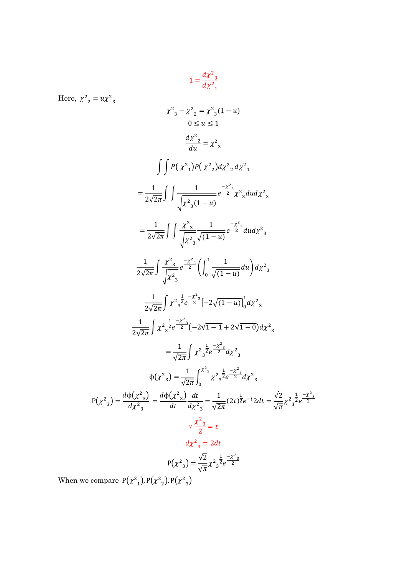$$
1 = \frac{d\chi^2_{3}}{d\chi^2_{1}}
$$

 $\chi^2_{3} - \chi^2_{2} = \chi^2_{3} (1 - u)$  $0 \le u \le 1$ 

Here,  $\chi^2_{2} = u \chi^2_{3}$ 

$$
\frac{d\chi^2}{du} = \chi^2_{3}
$$
  

$$
\int \int P(\chi^2_{1})P(\chi^2_{2})d\chi^2_{2} d\chi^2_{1}
$$

$$
= \frac{1}{2\sqrt{2\pi}} \int \int \frac{1}{\sqrt{\chi^2_{3}(1-u)}} e^{\frac{-\chi^2_{3}}{2}} \chi^2_{3} du d\chi^2_{3}
$$

$$
= \frac{1}{2\sqrt{2\pi}} \int \int \frac{\chi^2}{\sqrt{{\chi^2}_3}} \frac{1}{\sqrt{(1-u)}} e^{\frac{-\chi^2}{2}} du d\chi^2_{3}
$$

$$
\frac{1}{2\sqrt{2\pi}} \int \frac{\chi^2}{\sqrt{\chi^2}} e^{-\frac{\chi^2}{2}} \left( \int_0^1 \frac{1}{\sqrt{(1-u)}} du \right) d\chi^2
$$
  

$$
\frac{1}{2\sqrt{2\pi}} \int \chi^2 \frac{1}{2} e^{-\frac{\chi^2}{2}} \left[ -2\sqrt{(1-u)} \right]_0^1 d\chi^2
$$

$$
2\sqrt{2\pi} \int_0^{\pi/3} x^2 e^{-\frac{x^2}{2}} (-2\sqrt{1-1} + 2\sqrt{1-0}) d\chi^2
$$

$$
= \frac{1}{\sqrt{2\pi}} \int \chi^2 \frac{1}{3} e^{-\frac{\chi^2}{2}} d\chi^2
$$
  

$$
\phi(\chi^2)_3 = \frac{1}{\sqrt{2\pi}} \int_0^{\chi^2} \chi^2 \frac{1}{3} e^{-\frac{\chi^2}{2}} d\chi^2
$$
  

$$
P(\chi^2)_3 = \frac{d\phi(\chi^2)_3}{d\chi^2} = \frac{d\phi(\chi^2)_3}{dt} \frac{dt}{d\chi^2} = \frac{1}{\sqrt{2\pi}} (2t)^{\frac{1}{2}} e^{-t} 2dt = \frac{\sqrt{2}}{\sqrt{\pi}} \chi^2 \frac{1}{3} e^{-\frac{\chi^2}{2}}
$$
  

$$
\therefore \frac{\chi^2}{2} = t
$$
  

$$
d\chi^2 = 2dt
$$
  

$$
P(\chi^2)_3 = \frac{\sqrt{2}}{\sqrt{\pi}} \chi^2 \frac{1}{3} e^{-\frac{\chi^2}{2}}
$$

When we compare  $P(\chi^2)$ ,  $P(\chi^2)$ ,  $P(\chi^2)$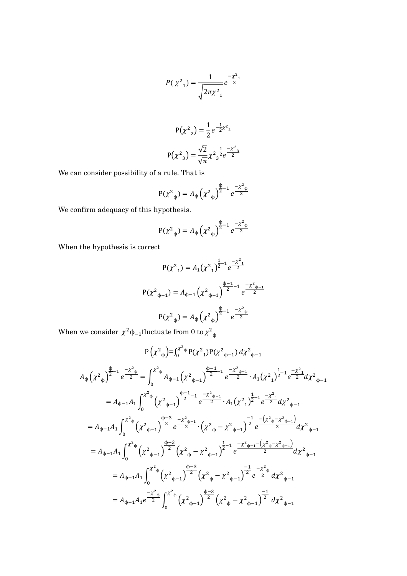$$
P(\chi^2_{1}) = \frac{1}{\sqrt{2\pi\chi^2_{1}}}e^{-\frac{\chi^2_{1}}{2}}
$$

$$
P(\chi^2{}_2) = \frac{1}{2} e^{-\frac{1}{2}\chi^2{}_2}
$$

$$
P(\chi^2{}_3) = \frac{\sqrt{2}}{\sqrt{\pi}} \chi^2{}_3^{\frac{1}{2}} e^{-\frac{\chi^2}{2}}
$$

We can consider possibility of a rule. That is

$$
P(\chi^2_{\phi}) = A_{\phi} (\chi^2_{\phi})^{\frac{\phi}{2}-1} e^{-\chi^2_{\phi} \phi}
$$

We confirm adequacy of this hypothesis.

$$
P(\chi^2_{\phi}) = A_{\phi} (\chi^2_{\phi})^{\frac{\phi}{2}-1} e^{-\chi^2_{\phi} \phi}
$$

When the hypothesis is correct

$$
P(\chi^2_{1}) = A_1(\chi^2_{1})^{\frac{1}{2}-1} e^{-\frac{\chi^2_{1}}{2}}
$$
  

$$
P(\chi^2_{\phi-1}) = A_{\phi-1} (\chi^2_{\phi-1})^{\frac{\phi-1}{2}-1} e^{-\frac{\chi^2_{\phi-1}}{2}}
$$
  

$$
P(\chi^2_{\phi}) = A_{\phi} (\chi^2_{\phi})^{\frac{\phi}{2}-1} e^{-\frac{\chi^2_{\phi}}{2}}
$$

When we consider  $\chi^2 \phi_{-1}$  fluctuate from 0 to  $\chi^2 \phi_{\phi}$ 

$$
P(\chi^{2}_{\phi}) = \int_{0}^{\chi^{2}_{\phi}} P(\chi^{2}_{1}) P(\chi^{2}_{\phi-1}) d\chi^{2}_{\phi-1}
$$
  
\n
$$
A_{\phi} (\chi^{2}_{\phi})^{\frac{\phi}{2}-1} e^{-\frac{\chi^{2}_{\phi}}{2}} = \int_{0}^{\chi^{2}_{\phi}} A_{\phi-1} (\chi^{2}_{\phi-1})^{\frac{\phi-1}{2}-1} e^{-\frac{\chi^{2}_{\phi-1}}{2}} \cdot A_{1} (\chi^{2}_{1})^{\frac{1}{2}-1} e^{-\frac{\chi^{2}_{1}}{2}} d\chi^{2}_{\phi-1}
$$
  
\n
$$
= A_{\phi-1} A_{1} \int_{0}^{\chi^{2}_{\phi}} (\chi^{2}_{\phi-1})^{\frac{\phi-1}{2}-1} e^{-\frac{\chi^{2}_{\phi-1}}{2}} \cdot A_{1} (\chi^{2}_{1})^{\frac{1}{2}-1} e^{-\frac{\chi^{2}_{1}}{2}} d\chi^{2}_{\phi-1}
$$
  
\n
$$
= A_{\phi-1} A_{1} \int_{0}^{\chi^{2}_{\phi}} (\chi^{2}_{\phi-1})^{\frac{\phi-3}{2}} e^{-\frac{\chi^{2}_{\phi-1}}{2}} \cdot (\chi^{2}_{\phi} - \chi^{2}_{\phi-1})^{\frac{-1}{2}} e^{-\frac{(\chi^{2}_{\phi} - \chi^{2}_{\phi-1})}{2}} d\chi^{2}_{\phi-1}
$$
  
\n
$$
= A_{\phi-1} A_{1} \int_{0}^{\chi^{2}_{\phi}} (\chi^{2}_{\phi-1})^{\frac{\phi-3}{2}} (\chi^{2}_{\phi} - \chi^{2}_{\phi-1})^{\frac{1}{2}-1} e^{-\frac{\chi^{2}_{\phi-1} - (\chi^{2}_{\phi} - \chi^{2}_{\phi-1})}{2}} d\chi^{2}_{\phi-1}
$$
  
\n
$$
= A_{\phi-1} A_{1} \int_{0}^{\chi^{2}_{\phi}} (\chi^{2}_{\phi-1})^{\frac{\phi-3}{2}} (\chi^{2}_{\phi} - \chi^{2}_{\phi-1})^{\frac{-1}{2}} e^{-\frac{\chi^{2}_{\phi}}{2}} d\chi^{2}_{\phi-1}
$$
  
\n
$$
= A_{\phi-1} A_{1} e^{-\frac{\chi^{2}_{\phi}}{2}}
$$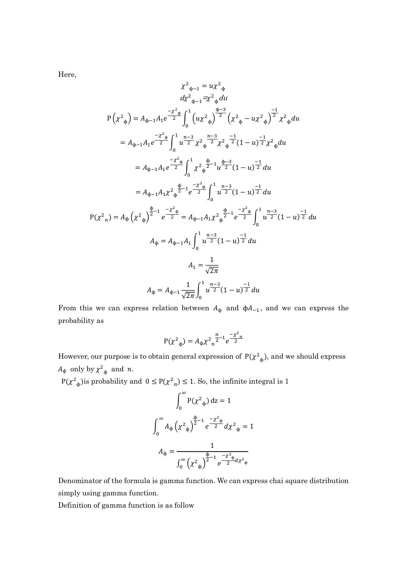Here,

$$
\chi^{2}{}_{\varphi-1} = u\chi^{2}{}_{\varphi}
$$
\n
$$
d\chi^{2}{}_{\varphi-1} = \chi^{2}{}_{\varphi} du
$$
\n
$$
P(\chi^{2}{}_{\varphi}) = A_{\varphi-1}A_{1}e^{-\frac{\chi^{2}{}_{\varphi}}{2}} \int_{0}^{1} (u\chi^{2}{}_{\varphi})^{\frac{\varphi-3}{2}} (\chi^{2}{}_{\varphi} - u\chi^{2}{}_{\varphi})^{\frac{-1}{2}} \chi^{2}{}_{\varphi} du
$$
\n
$$
= A_{\varphi-1}A_{1}e^{-\frac{\chi^{2}{}_{\varphi}}{2}} \int_{0}^{1} u^{\frac{n-3}{2}} \chi^{2}{}_{\varphi}^{\frac{n-3}{2}} \chi^{2}{}_{\varphi}^{-\frac{-1}{2}} (1-u)^{\frac{-1}{2}} \chi^{2}{}_{\varphi} du
$$
\n
$$
= A_{\varphi-1}A_{1}e^{-\frac{\chi^{2}{}_{\varphi}}{2}} \int_{0}^{1} \chi^{2}{}_{\varphi}^{\frac{\varphi}{2}-1} u^{\frac{\varphi-3}{2}} (1-u)^{\frac{-1}{2}} du
$$
\n
$$
= A_{\varphi-1}A_{1} \chi^{2}{}_{\varphi}^{\frac{\varphi}{2}-1} e^{-\frac{\chi^{2}{}_{\varphi}}{2}} \int_{0}^{1} u^{\frac{n-3}{2}} (1-u)^{\frac{-1}{2}} du
$$
\n
$$
P(\chi^{2}{}_{n}) = A_{\varphi} (\chi^{2}{}_{\varphi})^{\frac{\varphi}{2}-1} e^{-\frac{\chi^{2}{}_{\varphi}}{2}} = A_{\varphi-1}A_{1} \chi^{2}{}_{\varphi}^{\frac{\varphi}{2}-1} e^{-\frac{\chi^{2}{}_{\varphi}}{2}} \int_{0}^{1} u^{\frac{n-3}{2}} (1-u)^{\frac{-1}{2}} du
$$
\n
$$
A_{\varphi} = A_{\varphi-1}A_{1} \int_{0}^{1} u^{\frac{n-3}{2}} (1-u)^{\frac{-1}{2}} du
$$
\n
$$
A_{1} = \frac{1}{\sqrt{2\pi}}
$$
\n
$$
A_{\varphi} = A_{\varphi-1}
$$

From this we can express relation between  $A_{\phi}$  and  $\phi A_{-1}$ , and we can express the probability as

$$
P(\chi^2_{\phi}) = A_{\phi} \chi^2_{n}^{\frac{n}{2}-1} e^{\frac{-\chi^2_{n}}{2}}
$$

However, our purpose is to obtain general expression of  $P(\chi^2_{\phi})$ , and we should express  $A_{\phi}$  only by  $\chi^2_{\phi}$  and *n*.

 $P(\chi^2_{\phi})$  is probability and  $0 \le P(\chi^2_{n}) \le 1$ . So, the infinite integral is 1

$$
\int_0^{\infty} P(\chi^2 \phi) dz = 1
$$
  

$$
\int_0^{\infty} A_{\phi} (\chi^2 \phi)^{\frac{\phi}{2} - 1} e^{-\frac{\chi^2 \phi}{2}} d\chi^2 \phi = 1
$$
  

$$
A_{\phi} = \frac{1}{\int_0^{\infty} (\chi^2 \phi)^{\frac{\phi}{2} - 1} e^{-\frac{\chi^2 \phi}{2} d\chi^2 \phi}}
$$

Denominator of the formula is gamma function. We can express chai square distribution simply using gamma function.

Definition of gamma function is as follow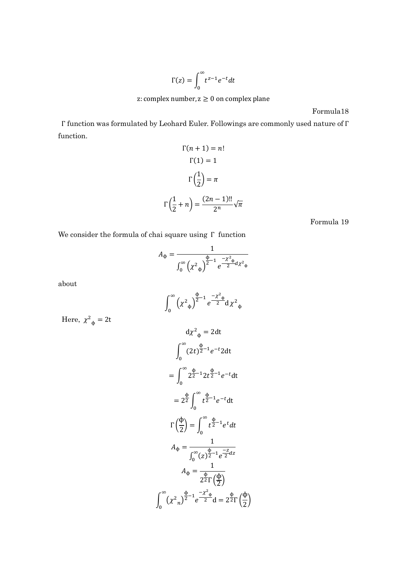$$
\Gamma(z) = \int_0^\infty t^{z-1} e^{-t} dt
$$

Formula18

Γ function was formulated by Leohard Euler. Followings are commonly used nature of Γ function.

$$
\Gamma(n+1) = n!
$$
  
\n
$$
\Gamma(1) = 1
$$
  
\n
$$
\Gamma\left(\frac{1}{2}\right) = \pi
$$
  
\n
$$
\Gamma\left(\frac{1}{2} + n\right) = \frac{(2n-1)!!}{2^n} \sqrt{\pi}
$$

Formula 19

We consider the formula of chai square using Γ function

$$
A_{\Phi} = \frac{1}{\int_0^{\infty} \left(\chi^2 \phi\right)^{\frac{\Phi}{2}-1} e^{\frac{-\chi^2 \phi}{2} d\chi^2 \phi}}
$$

about

$$
\int_0^{\infty} (x^2 \phi)^{\frac{\Phi}{2} - 1} e^{-\frac{x^2 \phi}{2}} dx^2 \phi
$$
  
\n
$$
d\chi^2 \phi = 2 dt
$$
  
\n
$$
\int_0^{\infty} (2t)^{\frac{\Phi}{2} - 1} e^{-t} 2 dt
$$
  
\n
$$
= \int_0^{\infty} 2^{\frac{\Phi}{2} - 1} 2t^{\frac{\Phi}{2} - 1} e^{-t} dt
$$
  
\n
$$
= 2^{\frac{\Phi}{2}} \int_0^{\infty} t^{\frac{\Phi}{2} - 1} e^{-t} dt
$$
  
\n
$$
\Gamma\left(\frac{\Phi}{2}\right) = \int_0^{\infty} t^{\frac{\Phi}{2} - 1} e^{t} dt
$$
  
\n
$$
A_{\Phi} = \frac{1}{\int_0^{\infty} (z)^{\frac{\Phi}{2} - 1} e^{-\frac{z}{2}} dz}
$$
  
\n
$$
A_{\Phi} = \frac{1}{2^{\frac{\Phi}{2}} \Gamma\left(\frac{\Phi}{2}\right)}
$$
  
\n
$$
\int_0^{\infty} (x^2 \phi)^{\frac{\Phi}{2} - 1} e^{-\frac{x^2 \phi}{2}} d = 2^{\frac{\Phi}{2}} \Gamma\left(\frac{\Phi}{2}\right)
$$

Here,  $\chi^2_{\phi} = 2t$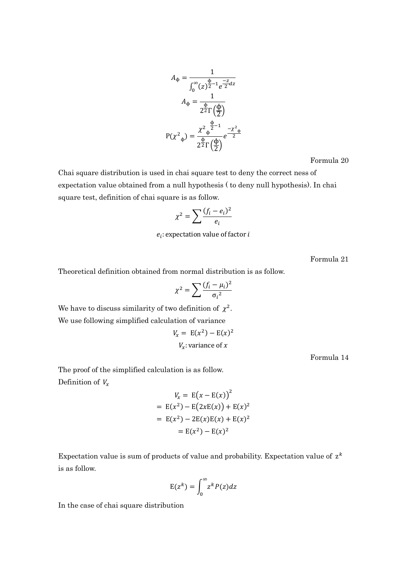$$
A_{\Phi} = \frac{1}{\int_0^{\infty} (z)^{\frac{\Phi}{2} - 1} e^{\frac{-z}{2} dz}}
$$

$$
A_{\Phi} = \frac{1}{2^{\frac{\Phi}{2} \Gamma\left(\frac{\Phi}{2}\right)}}
$$

$$
P(\chi^2_{\Phi}) = \frac{\chi^2_{\Phi}^{\frac{\Phi}{2} - 1}}{2^{\frac{\Phi}{2} \Gamma\left(\frac{\Phi}{2}\right)}} e^{\frac{-\chi^2_{\Phi}}{2}}
$$

Formula 20

Chai square distribution is used in chai square test to deny the correct ness of expectation value obtained from a null hypothesis ( to deny null hypothesis). In chai square test, definition of chai square is as follow.

$$
\chi^2 = \sum \frac{(f_i - e_i)^2}{e_i}
$$

 $e_i$ : expectation value of factor i

Formula 21

Theoretical definition obtained from normal distribution is as follow.

$$
\chi^2 = \sum \frac{(f_i - \mu_i)^2}{\sigma_i^2}
$$

We have to discuss similarity of two definition of  $\chi^2$ .

We use following simplified calculation of variance

$$
V_x = E(x^2) - E(x)^2
$$
  

$$
V_x
$$
: variance of x

Formula 14

The proof of the simplified calculation is as follow. Definition of  $V_x$ 

$$
V_x = E(x - E(x))^{2}
$$
  
= E(x<sup>2</sup>) - E(2xE(x)) + E(x)<sup>2</sup>  
= E(x<sup>2</sup>) - 2E(x)E(x) + E(x)<sup>2</sup>  
= E(x<sup>2</sup>) - E(x)<sup>2</sup>

Expectation value is sum of products of value and probability. Expectation value of  $z^k$ is as follow.

$$
E(z^k) = \int_0^\infty z^k P(z) dz
$$

In the case of chai square distribution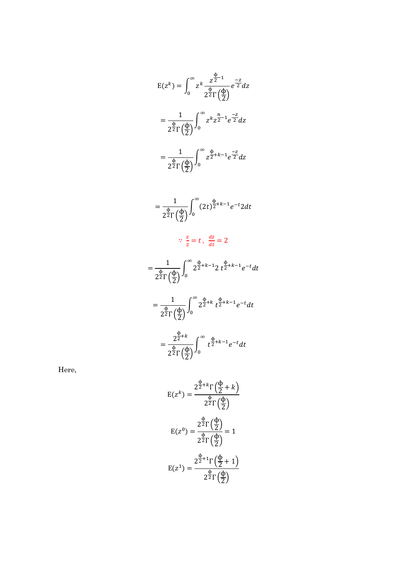$$
E(z^{k}) = \int_{0}^{\infty} z^{k} \frac{z^{\frac{\phi}{2}-1}}{2^{2} \Gamma(\frac{\phi}{2})} e^{\frac{-z}{2}} dz
$$
  
\n
$$
= \frac{1}{2^{\frac{\phi}{2}} \Gamma(\frac{\phi}{2})} \int_{0}^{\infty} z^{k} z^{\frac{n}{2}-1} e^{\frac{-z}{2}} dz
$$
  
\n
$$
= \frac{1}{2^{\frac{\phi}{2}} \Gamma(\frac{\phi}{2})} \int_{0}^{\infty} z^{2+k-1} e^{\frac{-z}{2}} dz
$$
  
\n
$$
= \frac{1}{2^{\frac{\phi}{2}} \Gamma(\frac{\phi}{2})} \int_{0}^{\infty} (2t)^{\frac{\phi}{2}+k-1} e^{-t} 2 dt
$$
  
\n
$$
\therefore \frac{z}{2} = t, \frac{dz}{dt} = 2
$$
  
\n
$$
= \frac{1}{2^{\frac{\phi}{2}} \Gamma(\frac{\phi}{2})} \int_{0}^{\infty} 2^{\frac{\phi}{2}+k-1} 2 t^{\frac{\phi}{2}+k-1} e^{-t} dt
$$
  
\n
$$
= \frac{1}{2^{\frac{\phi}{2}} \Gamma(\frac{\phi}{2})} \int_{0}^{\infty} 2^{\frac{\phi}{2}+k} t^{\frac{\phi}{2}+k-1} e^{-t} dt
$$
  
\n
$$
= \frac{2^{\frac{\phi}{2}+k}}{2^{\frac{\phi}{2}} \Gamma(\frac{\phi}{2})} \int_{0}^{\infty} t^{\frac{\phi}{2}+k-1} e^{-t} dt
$$

Here,

$$
E(z^{k}) = \frac{2^{\frac{\Phi}{2} + k} \Gamma(\frac{\Phi}{2} + k)}{2^{\frac{\Phi}{2}} \Gamma(\frac{\Phi}{2})}
$$

$$
E(z^{0}) = \frac{2^{\frac{\Phi}{2}} \Gamma(\frac{\Phi}{2})}{2^{\frac{\Phi}{2}} \Gamma(\frac{\Phi}{2})} = 1
$$

$$
E(z^{1}) = \frac{2^{\frac{\Phi}{2} + 1} \Gamma(\frac{\Phi}{2} + 1)}{2^{\frac{\Phi}{2}} \Gamma(\frac{\Phi}{2})}
$$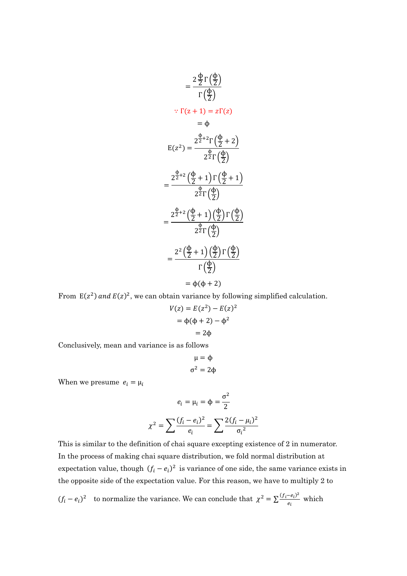$$
= \frac{2 \frac{\Phi}{2} \Gamma(\frac{\Phi}{2})}{\Gamma(\frac{\Phi}{2})}
$$

$$
\therefore \Gamma(z+1) = z\Gamma(z)
$$

$$
= \Phi
$$

$$
E(z^2) = \frac{2^{\frac{\Phi}{2}+2} \Gamma(\frac{\Phi}{2}+2)}{2^{\frac{\Phi}{2}} \Gamma(\frac{\Phi}{2})}
$$

$$
= \frac{2^{\frac{\Phi}{2}+2} (\frac{\Phi}{2}+1) \Gamma(\frac{\Phi}{2}+1)}{2^{\frac{\Phi}{2}} \Gamma(\frac{\Phi}{2})}
$$

$$
= \frac{2^{\frac{\Phi}{2}+2} (\frac{\Phi}{2}+1) (\frac{\Phi}{2}) \Gamma(\frac{\Phi}{2})}{2^{\frac{\Phi}{2}} \Gamma(\frac{\Phi}{2})}
$$

$$
= \frac{2^2 (\frac{\Phi}{2}+1) (\frac{\Phi}{2}) \Gamma(\frac{\Phi}{2})}{\Gamma(\frac{\Phi}{2})}
$$

$$
= \Phi(\Phi+2)
$$

From  $E(z^2)$  and  $E(z)^2$ , we can obtain variance by following simplified calculation.

$$
V(z) = E(z2) - E(z)2
$$
  
=  $\phi(\phi + 2) - \phi2$   
=  $2\phi$ 

Conclusively, mean and variance is as follows

$$
\mu = \varphi
$$

$$
\sigma^2 = 2\varphi
$$

When we presume  $e_i = \mu_i$ 

$$
e_i = \mu_i = \phi = \frac{\sigma^2}{2}
$$

$$
\chi^2 = \sum \frac{(f_i - e_i)^2}{e_i} = \sum \frac{2(f_i - \mu_i)^2}{\sigma_i^2}
$$

This is similar to the definition of chai square excepting existence of 2 in numerator. In the process of making chai square distribution, we fold normal distribution at expectation value, though  $(f_i - e_i)^2$  is variance of one side, the same variance exists in the opposite side of the expectation value. For this reason, we have to multiply 2 to

 $(f_i - e_i)^2$  to normalize the variance. We can conclude that  $\chi^2 = \sum \frac{(f_i - e_i)^2}{e_i}$  $\frac{-e_i y}{e_i}$  which